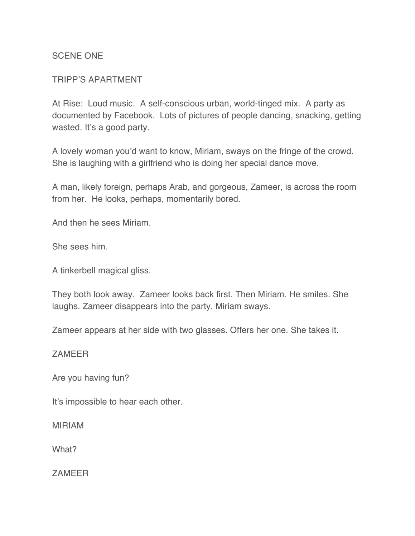### SCENE ONE

### TRIPP'S APARTMENT

At Rise: Loud music. A self-conscious urban, world-tinged mix. A party as documented by Facebook. Lots of pictures of people dancing, snacking, getting wasted. It's a good party.

A lovely woman you'd want to know, Miriam, sways on the fringe of the crowd. She is laughing with a girlfriend who is doing her special dance move.

A man, likely foreign, perhaps Arab, and gorgeous, Zameer, is across the room from her. He looks, perhaps, momentarily bored.

And then he sees Miriam.

She sees him.

A tinkerbell magical gliss.

They both look away. Zameer looks back first. Then Miriam. He smiles. She laughs. Zameer disappears into the party. Miriam sways.

Zameer appears at her side with two glasses. Offers her one. She takes it.

**ZAMEER** 

Are you having fun?

It's impossible to hear each other.

MIRIAM

What?

ZAMEER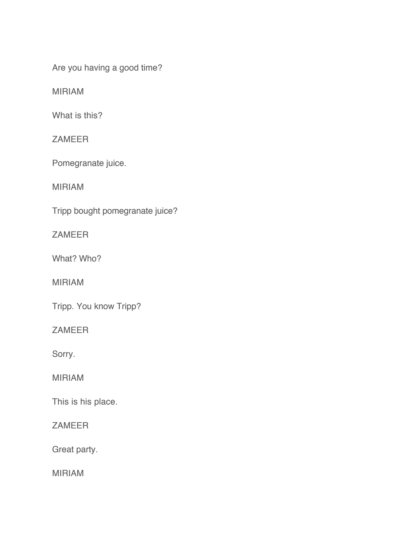Are you having a good time?

MIRIAM

What is this?

ZAMEER

Pomegranate juice.

MIRIAM

Tripp bought pomegranate juice?

ZAMEER

What? Who?

MIRIAM

Tripp. You know Tripp?

ZAMEER

Sorry.

MIRIAM

This is his place.

ZAMEER

Great party.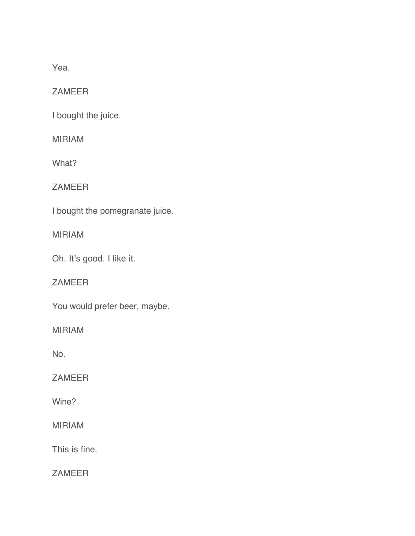Yea.

ZAMEER

I bought the juice.

MIRIAM

What?

ZAMEER

I bought the pomegranate juice.

MIRIAM

Oh. It's good. I like it.

ZAMEER

You would prefer beer, maybe.

MIRIAM

No.

ZAMEER

Wine?

MIRIAM

This is fine.

**ZAMEER**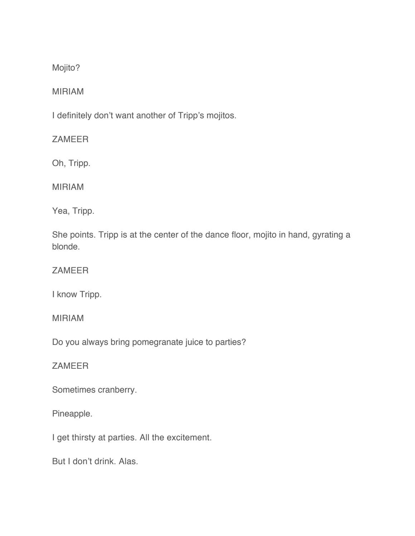Mojito?

## MIRIAM

I definitely don't want another of Tripp's mojitos.

ZAMEER

Oh, Tripp.

MIRIAM

Yea, Tripp.

She points. Tripp is at the center of the dance floor, mojito in hand, gyrating a blonde.

## ZAMEER

I know Tripp.

MIRIAM

Do you always bring pomegranate juice to parties?

## ZAMEER

Sometimes cranberry.

Pineapple.

I get thirsty at parties. All the excitement.

But I don't drink. Alas.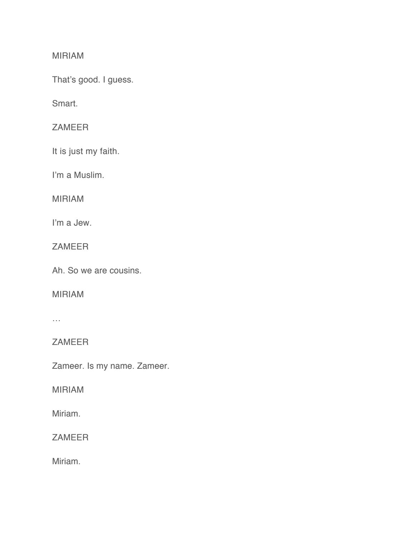# MIRIAM

That's good. I guess.

Smart.

# ZAMEER

It is just my faith.

I'm a Muslim.

MIRIAM

I'm a Jew.

ZAMEER

Ah. So we are cousins.

### MIRIAM

 $\ldots$ 

ZAMEER

Zameer. Is my name. Zameer.

# MIRIAM

Miriam.

ZAMEER

Miriam.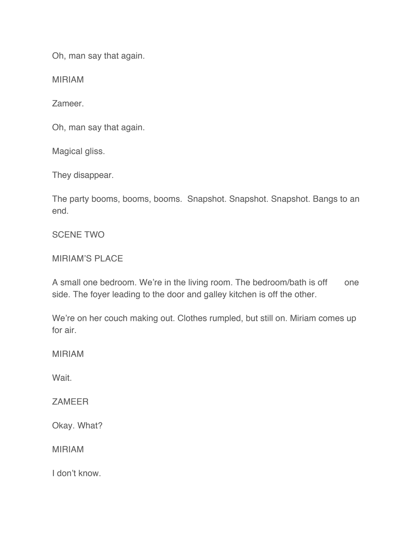Oh, man say that again.

MIRIAM

Zameer.

Oh, man say that again.

Magical gliss.

They disappear.

The party booms, booms, booms. Snapshot. Snapshot. Snapshot. Bangs to an end.

SCENE TWO

MIRIAM'S PLACE

A small one bedroom. We're in the living room. The bedroom/bath is off one side. The foyer leading to the door and galley kitchen is off the other.

We're on her couch making out. Clothes rumpled, but still on. Miriam comes up for air.

MIRIAM

Wait.

ZAMEER

Okay. What?

MIRIAM

I don't know.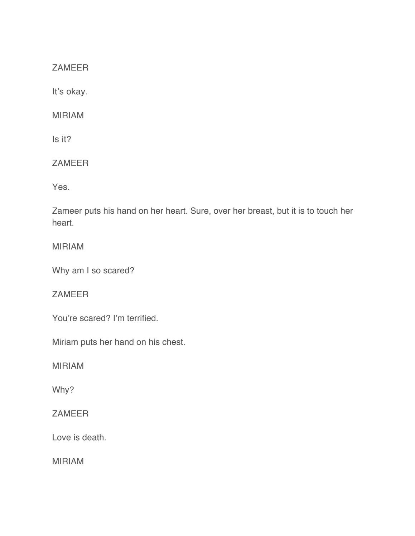ZAMEER

It's okay.

MIRIAM

Is it?

ZAMEER

Yes.

Zameer puts his hand on her heart. Sure, over her breast, but it is to touch her heart.

MIRIAM

Why am I so scared?

ZAMEER

You're scared? I'm terrified.

Miriam puts her hand on his chest.

MIRIAM

Why?

ZAMEER

Love is death.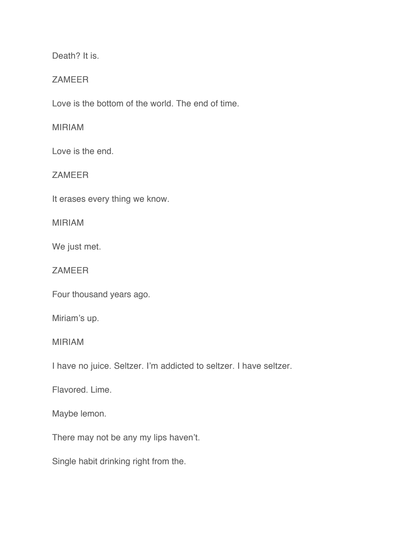Death? It is.

### ZAMEER

Love is the bottom of the world. The end of time.

### MIRIAM

Love is the end.

ZAMEER

It erases every thing we know.

MIRIAM

We just met.

ZAMEER

Four thousand years ago.

Miriam's up.

MIRIAM

I have no juice. Seltzer. I'm addicted to seltzer. I have seltzer.

Flavored. Lime.

Maybe lemon.

There may not be any my lips haven't.

Single habit drinking right from the.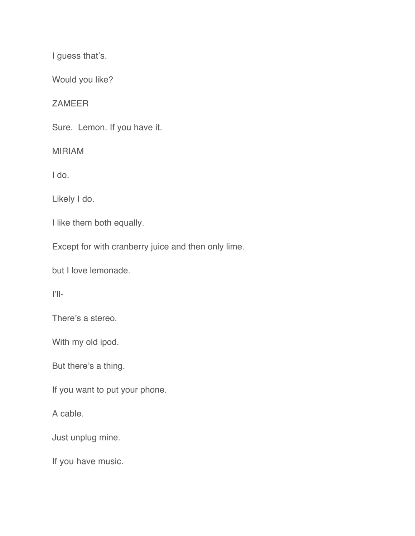I guess that's.

Would you like?

ZAMEER

Sure. Lemon. If you have it.

MIRIAM

I do.

Likely I do.

I like them both equally.

Except for with cranberry juice and then only lime.

but I love lemonade.

I'll-

There's a stereo.

With my old ipod.

But there's a thing.

If you want to put your phone.

A cable.

Just unplug mine.

If you have music.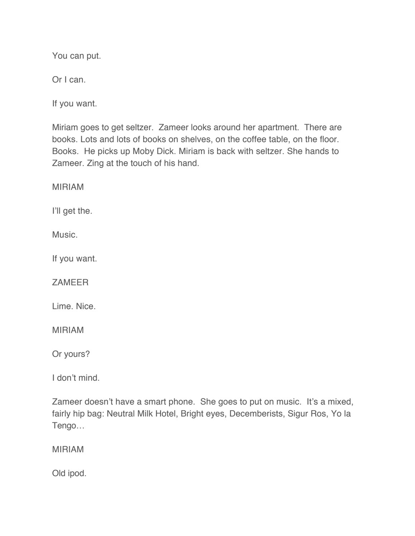You can put.

Or I can.

If you want.

Miriam goes to get seltzer. Zameer looks around her apartment. There are books. Lots and lots of books on shelves, on the coffee table, on the floor. Books. He picks up Moby Dick. Miriam is back with seltzer. She hands to Zameer. Zing at the touch of his hand.

MIRIAM

I'll get the.

Music.

If you want.

**ZAMEER** 

Lime. Nice.

MIRIAM

Or yours?

I don't mind.

Zameer doesn't have a smart phone. She goes to put on music. It's a mixed, fairly hip bag: Neutral Milk Hotel, Bright eyes, Decemberists, Sigur Ros, Yo la Tengo…

MIRIAM

Old ipod.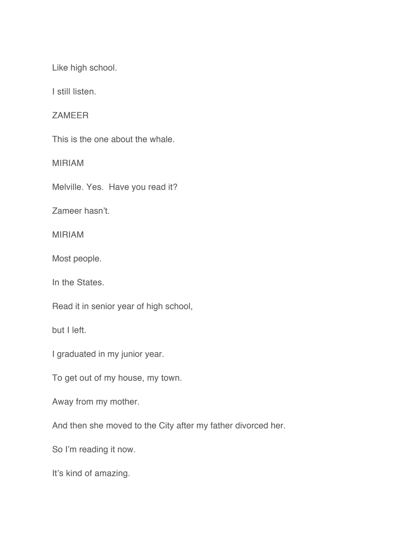Like high school.

I still listen.

ZAMEER

This is the one about the whale.

MIRIAM

Melville. Yes. Have you read it?

Zameer hasn't.

MIRIAM

Most people.

In the States.

Read it in senior year of high school,

but I left.

I graduated in my junior year.

To get out of my house, my town.

Away from my mother.

And then she moved to the City after my father divorced her.

So I'm reading it now.

It's kind of amazing.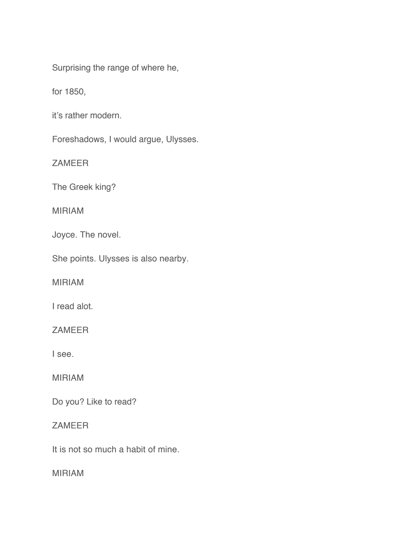Surprising the range of where he,

for 1850,

it's rather modern.

Foreshadows, I would argue, Ulysses.

ZAMEER

The Greek king?

MIRIAM

Joyce. The novel.

She points. Ulysses is also nearby.

MIRIAM

I read alot.

ZAMEER

I see.

MIRIAM

Do you? Like to read?

# ZAMEER

It is not so much a habit of mine.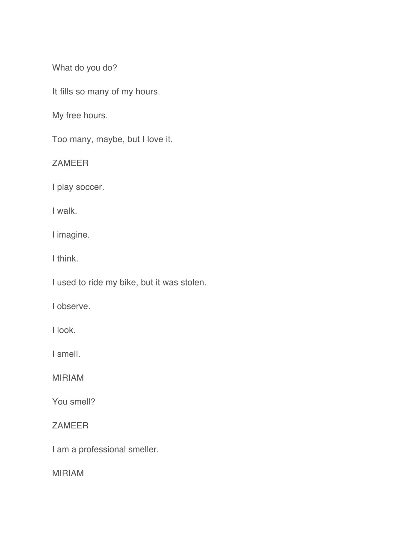What do you do?

It fills so many of my hours.

My free hours.

Too many, maybe, but I love it.

ZAMEER

I play soccer.

I walk.

I imagine.

I think.

I used to ride my bike, but it was stolen.

I observe.

I look.

I smell.

MIRIAM

You smell?

ZAMEER

I am a professional smeller.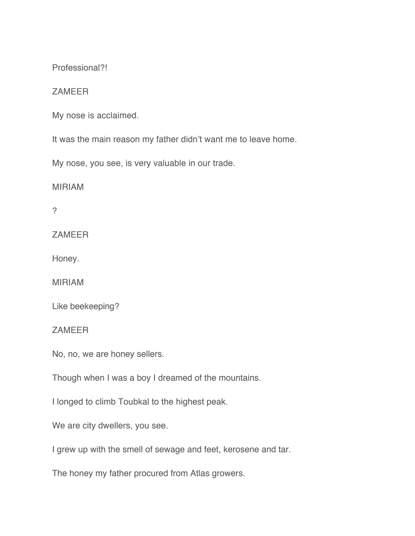Professional?!

### **ZAMEER**

My nose is acclaimed.

It was the main reason my father didn't want me to leave home.

My nose, you see, is very valuable in our trade.

MIRIAM

?

**ZAMEER** 

Honey.

MIRIAM

Like beekeeping?

ZAMEER

No, no, we are honey sellers.

Though when I was a boy I dreamed of the mountains.

I longed to climb Toubkal to the highest peak.

We are city dwellers, you see.

I grew up with the smell of sewage and feet, kerosene and tar.

The honey my father procured from Atlas growers.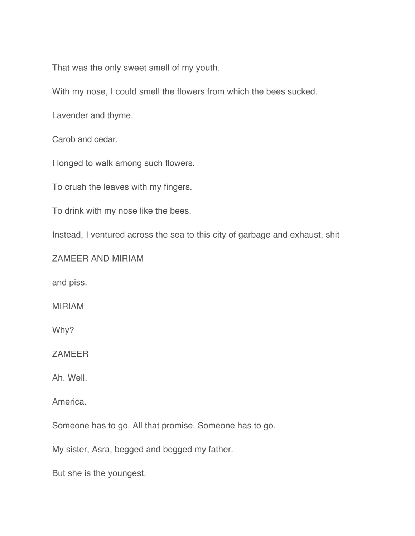That was the only sweet smell of my youth.

With my nose, I could smell the flowers from which the bees sucked.

Lavender and thyme.

Carob and cedar.

I longed to walk among such flowers.

To crush the leaves with my fingers.

To drink with my nose like the bees.

Instead, I ventured across the sea to this city of garbage and exhaust, shit

ZAMEER AND MIRIAM

and piss.

MIRIAM

Why?

**ZAMEER** 

Ah. Well.

America.

Someone has to go. All that promise. Someone has to go.

My sister, Asra, begged and begged my father.

But she is the youngest.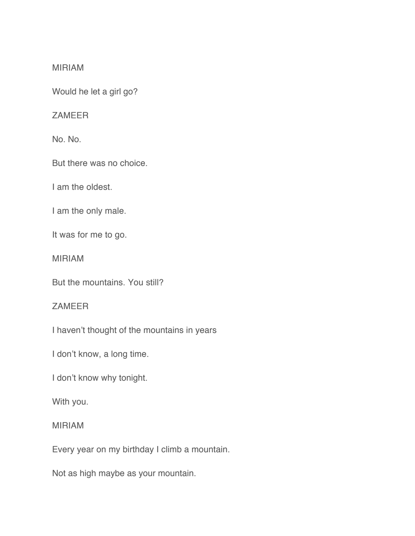#### MIRIAM

Would he let a girl go?

#### ZAMEER

No. No.

But there was no choice.

I am the oldest.

I am the only male.

It was for me to go.

MIRIAM

But the mountains. You still?

### ZAMEER

I haven't thought of the mountains in years

I don't know, a long time.

I don't know why tonight.

With you.

### MIRIAM

Every year on my birthday I climb a mountain.

Not as high maybe as your mountain.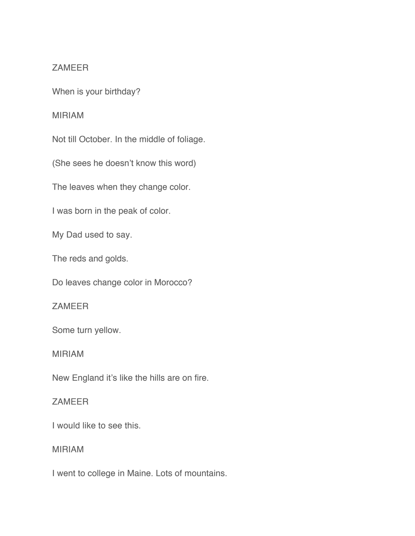### ZAMEER

When is your birthday?

#### MIRIAM

Not till October. In the middle of foliage.

(She sees he doesn't know this word)

The leaves when they change color.

I was born in the peak of color.

My Dad used to say.

The reds and golds.

Do leaves change color in Morocco?

## ZAMEER

Some turn yellow.

#### MIRIAM

New England it's like the hills are on fire.

#### ZAMEER

I would like to see this.

#### MIRIAM

I went to college in Maine. Lots of mountains.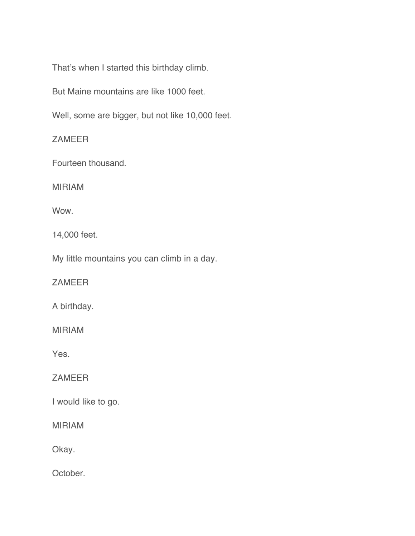That's when I started this birthday climb.

But Maine mountains are like 1000 feet.

Well, some are bigger, but not like 10,000 feet.

ZAMEER

Fourteen thousand.

MIRIAM

Wow.

14,000 feet.

My little mountains you can climb in a day.

ZAMEER

A birthday.

MIRIAM

Yes.

ZAMEER

I would like to go.

MIRIAM

Okay.

October.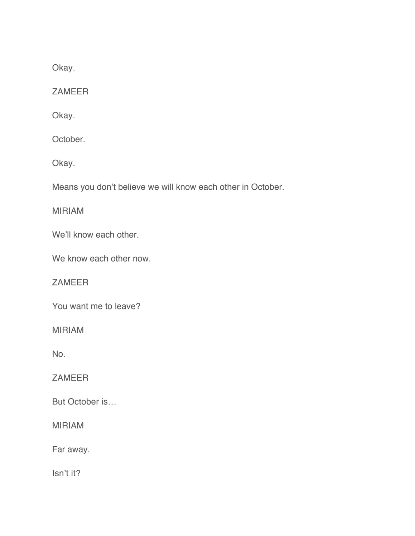Okay.

ZAMEER

Okay.

October.

Okay.

Means you don't believe we will know each other in October.

MIRIAM

We'll know each other.

We know each other now.

ZAMEER

You want me to leave?

MIRIAM

No.

ZAMEER

But October is…

MIRIAM

Far away.

Isn't it?